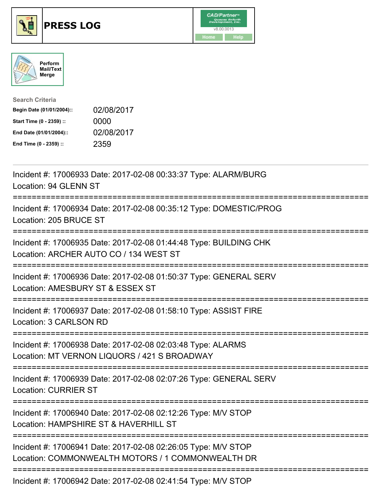





| <b>Search Criteria</b>    |            |
|---------------------------|------------|
| Begin Date (01/01/2004):: | 02/08/2017 |
| Start Time (0 - 2359) ::  | 0000       |
| End Date (01/01/2004)::   | 02/08/2017 |
| End Time (0 - 2359) ::    | 2359       |

| Incident #: 17006933 Date: 2017-02-08 00:33:37 Type: ALARM/BURG<br>Location: 94 GLENN ST                                                 |
|------------------------------------------------------------------------------------------------------------------------------------------|
| Incident #: 17006934 Date: 2017-02-08 00:35:12 Type: DOMESTIC/PROG<br>Location: 205 BRUCE ST                                             |
| Incident #: 17006935 Date: 2017-02-08 01:44:48 Type: BUILDING CHK<br>Location: ARCHER AUTO CO / 134 WEST ST                              |
| Incident #: 17006936 Date: 2017-02-08 01:50:37 Type: GENERAL SERV<br>Location: AMESBURY ST & ESSEX ST                                    |
| Incident #: 17006937 Date: 2017-02-08 01:58:10 Type: ASSIST FIRE<br>Location: 3 CARLSON RD<br>================                           |
| Incident #: 17006938 Date: 2017-02-08 02:03:48 Type: ALARMS<br>Location: MT VERNON LIQUORS / 421 S BROADWAY<br>----------------          |
| Incident #: 17006939 Date: 2017-02-08 02:07:26 Type: GENERAL SERV<br><b>Location: CURRIER ST</b><br>.----------------------------------- |
| Incident #: 17006940 Date: 2017-02-08 02:12:26 Type: M/V STOP<br>Location: HAMPSHIRE ST & HAVERHILL ST                                   |
| Incident #: 17006941 Date: 2017-02-08 02:26:05 Type: M/V STOP<br>Location: COMMONWEALTH MOTORS / 1 COMMONWEALTH DR                       |
| Incident #: 17006942 Date: 2017-02-08 02:41:54 Type: M/V STOP                                                                            |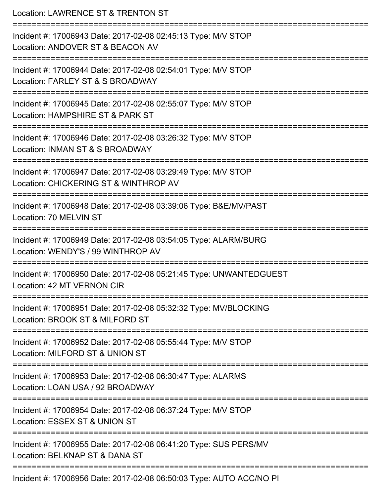| Location: LAWRENCE ST & TRENTON ST                                                                               |
|------------------------------------------------------------------------------------------------------------------|
| Incident #: 17006943 Date: 2017-02-08 02:45:13 Type: M/V STOP<br>Location: ANDOVER ST & BEACON AV                |
| Incident #: 17006944 Date: 2017-02-08 02:54:01 Type: M/V STOP<br>Location: FARLEY ST & S BROADWAY                |
| Incident #: 17006945 Date: 2017-02-08 02:55:07 Type: M/V STOP<br>Location: HAMPSHIRE ST & PARK ST                |
| Incident #: 17006946 Date: 2017-02-08 03:26:32 Type: M/V STOP<br>Location: INMAN ST & S BROADWAY                 |
| Incident #: 17006947 Date: 2017-02-08 03:29:49 Type: M/V STOP<br>Location: CHICKERING ST & WINTHROP AV           |
| :=================<br>Incident #: 17006948 Date: 2017-02-08 03:39:06 Type: B&E/MV/PAST<br>Location: 70 MELVIN ST |
| Incident #: 17006949 Date: 2017-02-08 03:54:05 Type: ALARM/BURG<br>Location: WENDY'S / 99 WINTHROP AV            |
| Incident #: 17006950 Date: 2017-02-08 05:21:45 Type: UNWANTEDGUEST<br>Location: 42 MT VERNON CIR                 |
| Incident #: 17006951 Date: 2017-02-08 05:32:32 Type: MV/BLOCKING<br>Location: BROOK ST & MILFORD ST              |
| Incident #: 17006952 Date: 2017-02-08 05:55:44 Type: M/V STOP<br>Location: MILFORD ST & UNION ST                 |
| Incident #: 17006953 Date: 2017-02-08 06:30:47 Type: ALARMS<br>Location: LOAN USA / 92 BROADWAY                  |
| Incident #: 17006954 Date: 2017-02-08 06:37:24 Type: M/V STOP<br>Location: ESSEX ST & UNION ST                   |
| Incident #: 17006955 Date: 2017-02-08 06:41:20 Type: SUS PERS/MV<br>Location: BELKNAP ST & DANA ST               |
| Incident #: 17006956 Date: 2017-02-08 06:50:03 Type: AUTO ACC/NO PI                                              |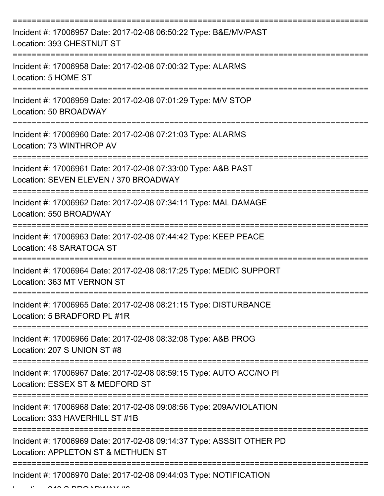| Incident #: 17006957 Date: 2017-02-08 06:50:22 Type: B&E/MV/PAST<br>Location: 393 CHESTNUT ST              |
|------------------------------------------------------------------------------------------------------------|
| Incident #: 17006958 Date: 2017-02-08 07:00:32 Type: ALARMS<br>Location: 5 HOME ST                         |
| Incident #: 17006959 Date: 2017-02-08 07:01:29 Type: M/V STOP<br>Location: 50 BROADWAY                     |
| Incident #: 17006960 Date: 2017-02-08 07:21:03 Type: ALARMS<br>Location: 73 WINTHROP AV                    |
| Incident #: 17006961 Date: 2017-02-08 07:33:00 Type: A&B PAST<br>Location: SEVEN ELEVEN / 370 BROADWAY     |
| Incident #: 17006962 Date: 2017-02-08 07:34:11 Type: MAL DAMAGE<br>Location: 550 BROADWAY                  |
| Incident #: 17006963 Date: 2017-02-08 07:44:42 Type: KEEP PEACE<br>Location: 48 SARATOGA ST                |
| Incident #: 17006964 Date: 2017-02-08 08:17:25 Type: MEDIC SUPPORT<br>Location: 363 MT VERNON ST           |
| Incident #: 17006965 Date: 2017-02-08 08:21:15 Type: DISTURBANCE<br>Location: 5 BRADFORD PL #1R            |
| Incident #: 17006966 Date: 2017-02-08 08:32:08 Type: A&B PROG<br>Location: 207 S UNION ST #8               |
| Incident #: 17006967 Date: 2017-02-08 08:59:15 Type: AUTO ACC/NO PI<br>Location: ESSEX ST & MEDFORD ST     |
| Incident #: 17006968 Date: 2017-02-08 09:08:56 Type: 209A/VIOLATION<br>Location: 333 HAVERHILL ST #1B      |
| Incident #: 17006969 Date: 2017-02-08 09:14:37 Type: ASSSIT OTHER PD<br>Location: APPLETON ST & METHUEN ST |
| Incident #: 17006970 Date: 2017-02-08 09:44:03 Type: NOTIFICATION                                          |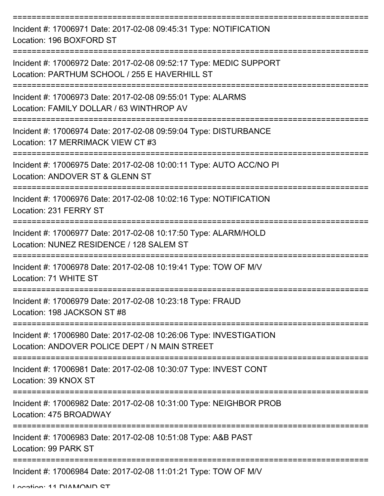| Incident #: 17006971 Date: 2017-02-08 09:45:31 Type: NOTIFICATION<br>Location: 196 BOXFORD ST                       |
|---------------------------------------------------------------------------------------------------------------------|
| Incident #: 17006972 Date: 2017-02-08 09:52:17 Type: MEDIC SUPPORT<br>Location: PARTHUM SCHOOL / 255 E HAVERHILL ST |
| Incident #: 17006973 Date: 2017-02-08 09:55:01 Type: ALARMS<br>Location: FAMILY DOLLAR / 63 WINTHROP AV             |
| Incident #: 17006974 Date: 2017-02-08 09:59:04 Type: DISTURBANCE<br>Location: 17 MERRIMACK VIEW CT #3               |
| Incident #: 17006975 Date: 2017-02-08 10:00:11 Type: AUTO ACC/NO PI<br>Location: ANDOVER ST & GLENN ST              |
| Incident #: 17006976 Date: 2017-02-08 10:02:16 Type: NOTIFICATION<br>Location: 231 FERRY ST                         |
| Incident #: 17006977 Date: 2017-02-08 10:17:50 Type: ALARM/HOLD<br>Location: NUNEZ RESIDENCE / 128 SALEM ST         |
| Incident #: 17006978 Date: 2017-02-08 10:19:41 Type: TOW OF M/V<br>Location: 71 WHITE ST                            |
| Incident #: 17006979 Date: 2017-02-08 10:23:18 Type: FRAUD<br>Location: 198 JACKSON ST #8                           |
| Incident #: 17006980 Date: 2017-02-08 10:26:06 Type: INVESTIGATION<br>Location: ANDOVER POLICE DEPT / N MAIN STREET |
| Incident #: 17006981 Date: 2017-02-08 10:30:07 Type: INVEST CONT<br>Location: 39 KNOX ST                            |
| Incident #: 17006982 Date: 2017-02-08 10:31:00 Type: NEIGHBOR PROB<br>Location: 475 BROADWAY                        |
| Incident #: 17006983 Date: 2017-02-08 10:51:08 Type: A&B PAST<br>Location: 99 PARK ST                               |
| Incident #: 17006984 Date: 2017-02-08 11:01:21 Type: TOW OF M/V                                                     |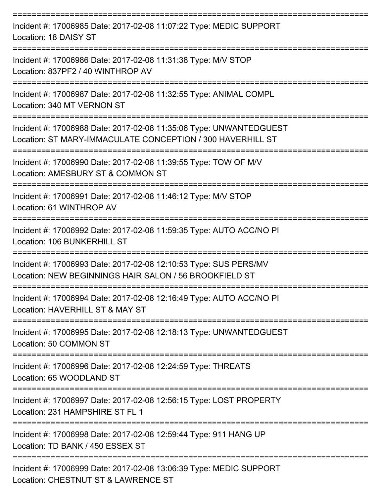| Incident #: 17006985 Date: 2017-02-08 11:07:22 Type: MEDIC SUPPORT<br>Location: 18 DAISY ST                                      |
|----------------------------------------------------------------------------------------------------------------------------------|
| Incident #: 17006986 Date: 2017-02-08 11:31:38 Type: M/V STOP<br>Location: 837PF2 / 40 WINTHROP AV                               |
| Incident #: 17006987 Date: 2017-02-08 11:32:55 Type: ANIMAL COMPL<br>Location: 340 MT VERNON ST                                  |
| Incident #: 17006988 Date: 2017-02-08 11:35:06 Type: UNWANTEDGUEST<br>Location: ST MARY-IMMACULATE CONCEPTION / 300 HAVERHILL ST |
| Incident #: 17006990 Date: 2017-02-08 11:39:55 Type: TOW OF M/V<br>Location: AMESBURY ST & COMMON ST                             |
| Incident #: 17006991 Date: 2017-02-08 11:46:12 Type: M/V STOP<br>Location: 61 WINTHROP AV                                        |
| Incident #: 17006992 Date: 2017-02-08 11:59:35 Type: AUTO ACC/NO PI<br>Location: 106 BUNKERHILL ST                               |
| Incident #: 17006993 Date: 2017-02-08 12:10:53 Type: SUS PERS/MV<br>Location: NEW BEGINNINGS HAIR SALON / 56 BROOKFIELD ST       |
| Incident #: 17006994 Date: 2017-02-08 12:16:49 Type: AUTO ACC/NO PI<br>Location: HAVERHILL ST & MAY ST                           |
| Incident #: 17006995 Date: 2017-02-08 12:18:13 Type: UNWANTEDGUEST<br>Location: 50 COMMON ST                                     |
| Incident #: 17006996 Date: 2017-02-08 12:24:59 Type: THREATS<br>Location: 65 WOODLAND ST                                         |
| Incident #: 17006997 Date: 2017-02-08 12:56:15 Type: LOST PROPERTY<br>Location: 231 HAMPSHIRE ST FL 1                            |
| Incident #: 17006998 Date: 2017-02-08 12:59:44 Type: 911 HANG UP<br>Location: TD BANK / 450 ESSEX ST                             |
| Incident #: 17006999 Date: 2017-02-08 13:06:39 Type: MEDIC SUPPORT<br>Location: CHESTNUT ST & LAWRENCE ST                        |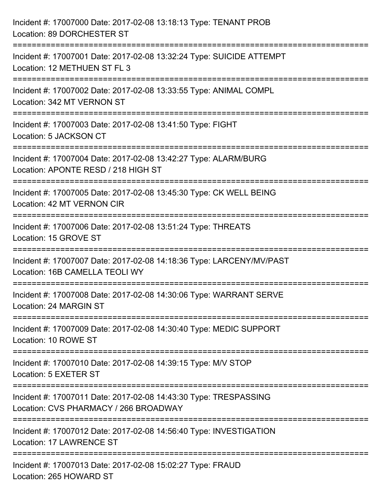| Incident #: 17007000 Date: 2017-02-08 13:18:13 Type: TENANT PROB<br>Location: 89 DORCHESTER ST                                                                     |
|--------------------------------------------------------------------------------------------------------------------------------------------------------------------|
| ===================================<br>Incident #: 17007001 Date: 2017-02-08 13:32:24 Type: SUICIDE ATTEMPT<br>Location: 12 METHUEN ST FL 3<br>:================== |
| Incident #: 17007002 Date: 2017-02-08 13:33:55 Type: ANIMAL COMPL<br>Location: 342 MT VERNON ST                                                                    |
| Incident #: 17007003 Date: 2017-02-08 13:41:50 Type: FIGHT<br>Location: 5 JACKSON CT                                                                               |
| Incident #: 17007004 Date: 2017-02-08 13:42:27 Type: ALARM/BURG<br>Location: APONTE RESD / 218 HIGH ST                                                             |
| Incident #: 17007005 Date: 2017-02-08 13:45:30 Type: CK WELL BEING<br>Location: 42 MT VERNON CIR                                                                   |
| Incident #: 17007006 Date: 2017-02-08 13:51:24 Type: THREATS<br>Location: 15 GROVE ST                                                                              |
| Incident #: 17007007 Date: 2017-02-08 14:18:36 Type: LARCENY/MV/PAST<br>Location: 16B CAMELLA TEOLI WY                                                             |
| Incident #: 17007008 Date: 2017-02-08 14:30:06 Type: WARRANT SERVE<br>Location: 24 MARGIN ST                                                                       |
| Incident #: 17007009 Date: 2017-02-08 14:30:40 Type: MEDIC SUPPORT<br>Location: 10 ROWE ST                                                                         |
| Incident #: 17007010 Date: 2017-02-08 14:39:15 Type: M/V STOP<br>Location: 5 EXETER ST                                                                             |
| Incident #: 17007011 Date: 2017-02-08 14:43:30 Type: TRESPASSING<br>Location: CVS PHARMACY / 266 BROADWAY                                                          |
| Incident #: 17007012 Date: 2017-02-08 14:56:40 Type: INVESTIGATION<br><b>Location: 17 LAWRENCE ST</b>                                                              |
| Incident #: 17007013 Date: 2017-02-08 15:02:27 Type: FRAUD<br>Location: 265 HOWARD ST                                                                              |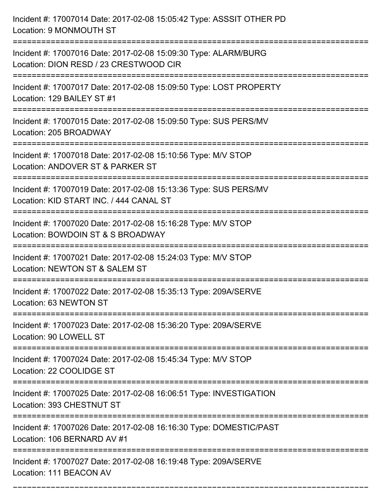| Incident #: 17007014 Date: 2017-02-08 15:05:42 Type: ASSSIT OTHER PD<br>Location: 9 MONMOUTH ST                                                  |
|--------------------------------------------------------------------------------------------------------------------------------------------------|
| ===================================<br>Incident #: 17007016 Date: 2017-02-08 15:09:30 Type: ALARM/BURG<br>Location: DION RESD / 23 CRESTWOOD CIR |
| Incident #: 17007017 Date: 2017-02-08 15:09:50 Type: LOST PROPERTY<br>Location: 129 BAILEY ST #1<br>:=========================                   |
| Incident #: 17007015 Date: 2017-02-08 15:09:50 Type: SUS PERS/MV<br>Location: 205 BROADWAY                                                       |
| Incident #: 17007018 Date: 2017-02-08 15:10:56 Type: M/V STOP<br>Location: ANDOVER ST & PARKER ST<br>==========================                  |
| Incident #: 17007019 Date: 2017-02-08 15:13:36 Type: SUS PERS/MV<br>Location: KID START INC. / 444 CANAL ST<br>:===========================      |
| Incident #: 17007020 Date: 2017-02-08 15:16:28 Type: M/V STOP<br>Location: BOWDOIN ST & S BROADWAY<br>====================                       |
| Incident #: 17007021 Date: 2017-02-08 15:24:03 Type: M/V STOP<br>Location: NEWTON ST & SALEM ST                                                  |
| Incident #: 17007022 Date: 2017-02-08 15:35:13 Type: 209A/SERVE<br>Location: 63 NEWTON ST                                                        |
| Incident #: 17007023 Date: 2017-02-08 15:36:20 Type: 209A/SERVE<br>Location: 90 LOWELL ST                                                        |
| Incident #: 17007024 Date: 2017-02-08 15:45:34 Type: M/V STOP<br>Location: 22 COOLIDGE ST                                                        |
| Incident #: 17007025 Date: 2017-02-08 16:06:51 Type: INVESTIGATION<br>Location: 393 CHESTNUT ST                                                  |
| Incident #: 17007026 Date: 2017-02-08 16:16:30 Type: DOMESTIC/PAST<br>Location: 106 BERNARD AV #1                                                |
| Incident #: 17007027 Date: 2017-02-08 16:19:48 Type: 209A/SERVE<br>Location: 111 BEACON AV                                                       |

===========================================================================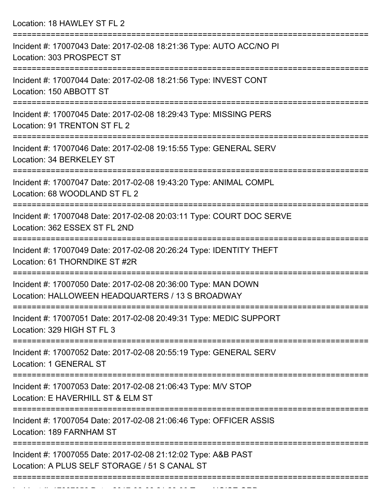Location: 18 HAWLEY ST FL 2

| Incident #: 17007043 Date: 2017-02-08 18:21:36 Type: AUTO ACC/NO PI<br>Location: 303 PROSPECT ST                  |
|-------------------------------------------------------------------------------------------------------------------|
| Incident #: 17007044 Date: 2017-02-08 18:21:56 Type: INVEST CONT<br>Location: 150 ABBOTT ST                       |
| Incident #: 17007045 Date: 2017-02-08 18:29:43 Type: MISSING PERS<br>Location: 91 TRENTON ST FL 2                 |
| Incident #: 17007046 Date: 2017-02-08 19:15:55 Type: GENERAL SERV<br>Location: 34 BERKELEY ST                     |
| Incident #: 17007047 Date: 2017-02-08 19:43:20 Type: ANIMAL COMPL<br>Location: 68 WOODLAND ST FL 2                |
| Incident #: 17007048 Date: 2017-02-08 20:03:11 Type: COURT DOC SERVE<br>Location: 362 ESSEX ST FL 2ND             |
| Incident #: 17007049 Date: 2017-02-08 20:26:24 Type: IDENTITY THEFT<br>Location: 61 THORNDIKE ST #2R              |
| Incident #: 17007050 Date: 2017-02-08 20:36:00 Type: MAN DOWN<br>Location: HALLOWEEN HEADQUARTERS / 13 S BROADWAY |
| Incident #: 17007051 Date: 2017-02-08 20:49:31 Type: MEDIC SUPPORT<br>Location: 329 HIGH ST FL 3                  |
| ==============<br>Incident #: 17007052 Date: 2017-02-08 20:55:19 Type: GENERAL SERV<br>Location: 1 GENERAL ST     |
| Incident #: 17007053 Date: 2017-02-08 21:06:43 Type: M/V STOP<br>Location: E HAVERHILL ST & ELM ST                |
| Incident #: 17007054 Date: 2017-02-08 21:06:46 Type: OFFICER ASSIS<br>Location: 189 FARNHAM ST                    |
| Incident #: 17007055 Date: 2017-02-08 21:12:02 Type: A&B PAST<br>Location: A PLUS SELF STORAGE / 51 S CANAL ST    |
|                                                                                                                   |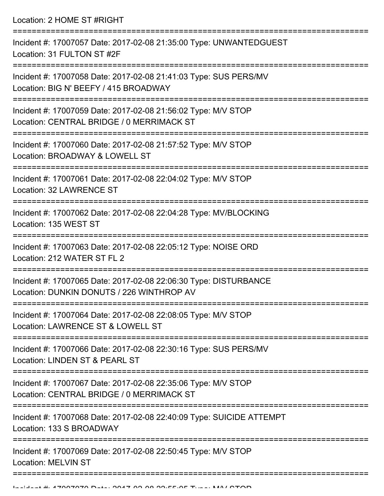Location: 2 HOME ST #RIGHT =========================================================================== Incident #: 17007057 Date: 2017-02-08 21:35:00 Type: UNWANTEDGUEST Location: 31 FULTON ST #2F =========================================================================== Incident #: 17007058 Date: 2017-02-08 21:41:03 Type: SUS PERS/MV Location: BIG N' BEEFY / 415 BROADWAY =========================================================================== Incident #: 17007059 Date: 2017-02-08 21:56:02 Type: M/V STOP Location: CENTRAL BRIDGE / 0 MERRIMACK ST =========================================================================== Incident #: 17007060 Date: 2017-02-08 21:57:52 Type: M/V STOP Location: BROADWAY & LOWELL ST =========================================================================== Incident #: 17007061 Date: 2017-02-08 22:04:02 Type: M/V STOP Location: 32 LAWRENCE ST =========================================================================== Incident #: 17007062 Date: 2017-02-08 22:04:28 Type: MV/BLOCKING Location: 135 WEST ST =========================================================================== Incident #: 17007063 Date: 2017-02-08 22:05:12 Type: NOISE ORD Location: 212 WATER ST FL 2 =========================================================================== Incident #: 17007065 Date: 2017-02-08 22:06:30 Type: DISTURBANCE Location: DUNKIN DONUTS / 226 WINTHROP AV =========================================================================== Incident #: 17007064 Date: 2017-02-08 22:08:05 Type: M/V STOP Location: LAWRENCE ST & LOWELL ST =========================================================================== Incident #: 17007066 Date: 2017-02-08 22:30:16 Type: SUS PERS/MV Location: LINDEN ST & PEARL ST =========================================================================== Incident #: 17007067 Date: 2017-02-08 22:35:06 Type: M/V STOP Location: CENTRAL BRIDGE / 0 MERRIMACK ST =========================================================================== Incident #: 17007068 Date: 2017-02-08 22:40:09 Type: SUICIDE ATTEMPT Location: 133 S BROADWAY =========================================================================== Incident #: 17007069 Date: 2017-02-08 22:50:45 Type: M/V STOP Location: MELVIN ST

=============================